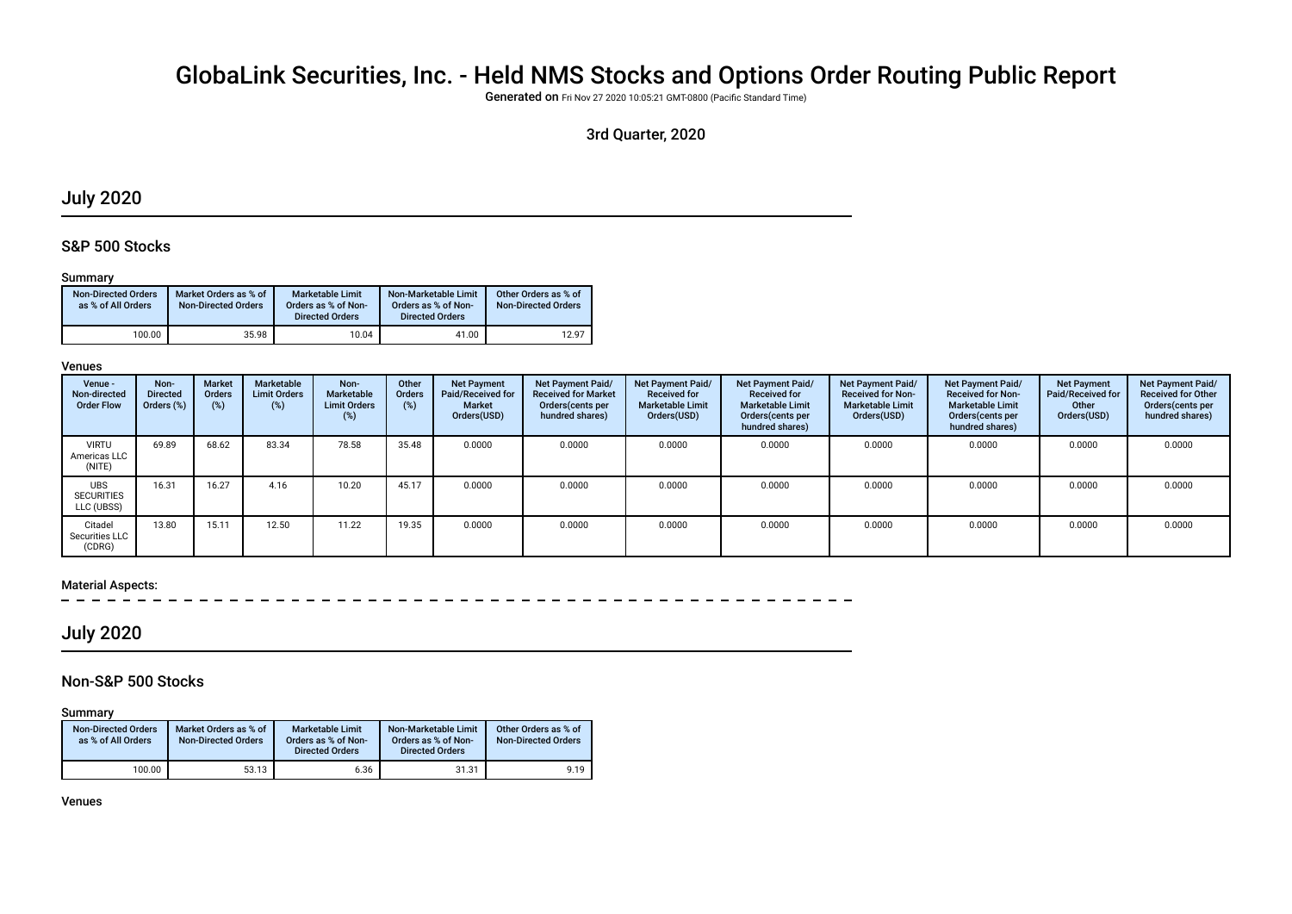# GlobaLink Securities, Inc. - Held NMS Stocks and Options Order Routing Public Report

Generated on Fri Nov 27 2020 10:05:21 GMT-0800 (Pacifc Standard Time)

## 3rd Quarter, 2020

## July 2020

## S&P 500 Stocks

#### Summary

| <b>Non-Directed Orders</b><br>as % of All Orders | Market Orders as % of<br><b>Non-Directed Orders</b> | <b>Marketable Limit</b><br>Orders as % of Non-<br><b>Directed Orders</b> | Non-Marketable Limit<br>Orders as % of Non-<br><b>Directed Orders</b> | Other Orders as % of<br><b>Non-Directed Orders</b> |
|--------------------------------------------------|-----------------------------------------------------|--------------------------------------------------------------------------|-----------------------------------------------------------------------|----------------------------------------------------|
| 100.00                                           | 35.98                                               | 10.04                                                                    | 41.00                                                                 | 12.97                                              |

#### Venues

| Venue -<br>Non-directed<br><b>Order Flow</b>  | Non-<br><b>Directed</b><br>Orders (%) | <b>Market</b><br>Orders<br>(%) | Marketable<br><b>Limit Orders</b><br>(%) | Non-<br>Marketable<br><b>Limit Orders</b><br>(%) | Other<br>Orders<br>(%) | <b>Net Payment</b><br>Paid/Received for<br><b>Market</b><br>Orders(USD) | <b>Net Payment Paid/</b><br><b>Received for Market</b><br>Orders (cents per<br>hundred shares) | Net Payment Paid/<br><b>Received for</b><br><b>Marketable Limit</b><br>Orders(USD) | Net Payment Paid/<br><b>Received for</b><br><b>Marketable Limit</b><br>Orders (cents per<br>hundred shares) | Net Payment Paid/<br><b>Received for Non-</b><br><b>Marketable Limit</b><br>Orders(USD) | <b>Net Payment Paid/</b><br><b>Received for Non-</b><br><b>Marketable Limit</b><br>Orders (cents per<br>hundred shares) | <b>Net Payment</b><br>Paid/Received for<br>Other<br>Orders(USD) | Net Payment Paid/<br><b>Received for Other</b><br>Orders(cents per<br>hundred shares) |
|-----------------------------------------------|---------------------------------------|--------------------------------|------------------------------------------|--------------------------------------------------|------------------------|-------------------------------------------------------------------------|------------------------------------------------------------------------------------------------|------------------------------------------------------------------------------------|-------------------------------------------------------------------------------------------------------------|-----------------------------------------------------------------------------------------|-------------------------------------------------------------------------------------------------------------------------|-----------------------------------------------------------------|---------------------------------------------------------------------------------------|
| <b>VIRTU</b><br>Americas LLC<br>(NITE)        | 69.89                                 | 68.62                          | 83.34                                    | 78.58                                            | 35.48                  | 0.0000                                                                  | 0.0000                                                                                         | 0.0000                                                                             | 0.0000                                                                                                      | 0.0000                                                                                  | 0.0000                                                                                                                  | 0.0000                                                          | 0.0000                                                                                |
| <b>UBS</b><br><b>SECURITIES</b><br>LLC (UBSS) | 16.31                                 | 16.27                          | 4.16                                     | 10.20                                            | 45.17                  | 0.0000                                                                  | 0.0000                                                                                         | 0.0000                                                                             | 0.0000                                                                                                      | 0.0000                                                                                  | 0.0000                                                                                                                  | 0.0000                                                          | 0.0000                                                                                |
| Citadel<br>Securities LLC<br>(CDRG)           | 13.80                                 | 15.11                          | 12.50                                    | 11.22                                            | 19.35                  | 0.0000                                                                  | 0.0000                                                                                         | 0.0000                                                                             | 0.0000                                                                                                      | 0.0000                                                                                  | 0.0000                                                                                                                  | 0.0000                                                          | 0.0000                                                                                |

#### Material Aspects:

## July 2020

## Non-S&P 500 Stocks

Summary

| <b>Non-Directed Orders</b><br>as % of All Orders | Market Orders as % of<br><b>Non-Directed Orders</b> | <b>Marketable Limit</b><br>Orders as % of Non-<br><b>Directed Orders</b> | Non-Marketable Limit<br>Orders as % of Non-<br><b>Directed Orders</b> | Other Orders as % of<br><b>Non-Directed Orders</b> |
|--------------------------------------------------|-----------------------------------------------------|--------------------------------------------------------------------------|-----------------------------------------------------------------------|----------------------------------------------------|
| 100.00                                           | 53.13                                               | 6.36                                                                     | 31.31                                                                 | 9.19                                               |

Venues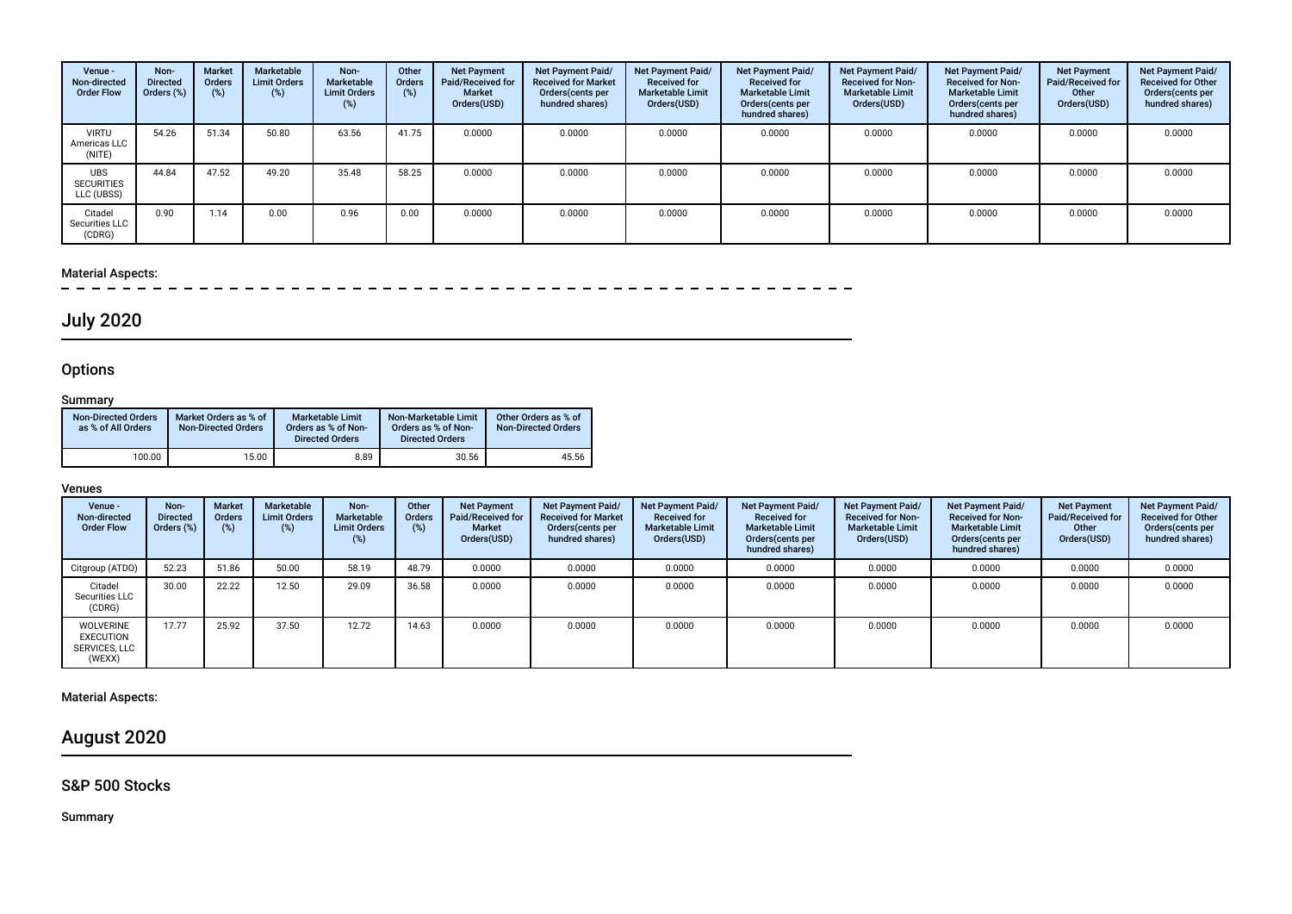| Venue -<br>Non-directed<br><b>Order Flow</b>  | Non-<br><b>Directed</b><br>Orders (%) | <b>Market</b><br>Orders<br>$(\%)$ | Marketable<br><b>Limit Orders</b><br>(%) | Non-<br>Marketable<br><b>Limit Orders</b><br>(%) | Other<br><b>Orders</b><br>(%) | <b>Net Payment</b><br>Paid/Received for<br><b>Market</b><br>Orders(USD) | <b>Net Payment Paid/</b><br><b>Received for Market</b><br>Orders(cents per<br>hundred shares) | Net Payment Paid/<br><b>Received for</b><br><b>Marketable Limit</b><br>Orders(USD) | Net Payment Paid/<br><b>Received for</b><br><b>Marketable Limit</b><br>Orders (cents per<br>hundred shares) | Net Payment Paid/<br><b>Received for Non-</b><br><b>Marketable Limit</b><br>Orders(USD) | Net Payment Paid/<br><b>Received for Non-</b><br><b>Marketable Limit</b><br>Orders (cents per<br>hundred shares) | <b>Net Payment</b><br>Paid/Received for<br>Other<br>Orders(USD) | Net Payment Paid/<br><b>Received for Other</b><br>Orders (cents per<br>hundred shares) |
|-----------------------------------------------|---------------------------------------|-----------------------------------|------------------------------------------|--------------------------------------------------|-------------------------------|-------------------------------------------------------------------------|-----------------------------------------------------------------------------------------------|------------------------------------------------------------------------------------|-------------------------------------------------------------------------------------------------------------|-----------------------------------------------------------------------------------------|------------------------------------------------------------------------------------------------------------------|-----------------------------------------------------------------|----------------------------------------------------------------------------------------|
| <b>VIRTU</b><br>Americas LLC<br>(NITE)        | 54.26                                 | 51.34                             | 50.80                                    | 63.56                                            | 41.75                         | 0.0000                                                                  | 0.0000                                                                                        | 0.0000                                                                             | 0.0000                                                                                                      | 0.0000                                                                                  | 0.0000                                                                                                           | 0.0000                                                          | 0.0000                                                                                 |
| <b>UBS</b><br><b>SECURITIES</b><br>LLC (UBSS) | 44.84                                 | 47.52                             | 49.20                                    | 35.48                                            | 58.25                         | 0.0000                                                                  | 0.0000                                                                                        | 0.0000                                                                             | 0.0000                                                                                                      | 0.0000                                                                                  | 0.0000                                                                                                           | 0.0000                                                          | 0.0000                                                                                 |
| Citadel<br>Securities LLC<br>(CDRG)           | 0.90                                  | 1.14                              | 0.00                                     | 0.96                                             | 0.00                          | 0.0000                                                                  | 0.0000                                                                                        | 0.0000                                                                             | 0.0000                                                                                                      | 0.0000                                                                                  | 0.0000                                                                                                           | 0.0000                                                          | 0.0000                                                                                 |

# Material Aspects:<br> $- - - - -$

# July 2020

## **Options**

## **Summary**

| <b>Non-Directed Orders</b><br>as % of All Orders | Market Orders as % of<br><b>Non-Directed Orders</b> | <b>Marketable Limit</b><br>Orders as % of Non-<br><b>Directed Orders</b> | Non-Marketable Limit<br>Orders as % of Non-<br><b>Directed Orders</b> | Other Orders as % of<br><b>Non-Directed Orders</b> |
|--------------------------------------------------|-----------------------------------------------------|--------------------------------------------------------------------------|-----------------------------------------------------------------------|----------------------------------------------------|
| 100.00                                           | 15.00                                               | 8.89                                                                     | 30.56                                                                 | 45.56                                              |

#### Venues

| Venue -<br>Non-directed<br><b>Order Flow</b>                    | Non-<br><b>Directed</b><br>Orders (%) | <b>Market</b><br>Orders | Marketable<br><b>Limit Orders</b><br>$(\%)$ | Non-<br>Marketable<br><b>Limit Orders</b><br>(%) | Other<br><b>Orders</b><br>(%) | <b>Net Payment</b><br>Paid/Received for<br><b>Market</b><br>Orders(USD) | Net Payment Paid/<br><b>Received for Market</b><br>Orders(cents per<br>hundred shares) | Net Payment Paid/<br><b>Received for</b><br><b>Marketable Limit</b><br>Orders(USD) | Net Payment Paid/<br><b>Received for</b><br><b>Marketable Limit</b><br>Orders(cents per<br>hundred shares) | Net Payment Paid/<br><b>Received for Non-</b><br><b>Marketable Limit</b><br>Orders(USD) | Net Payment Paid/<br><b>Received for Non-</b><br><b>Marketable Limit</b><br>Orders(cents per<br>hundred shares) | <b>Net Payment</b><br>Paid/Received for<br>Other<br>Orders(USD) | Net Payment Paid/<br><b>Received for Other</b><br>Orders(cents per<br>hundred shares) |
|-----------------------------------------------------------------|---------------------------------------|-------------------------|---------------------------------------------|--------------------------------------------------|-------------------------------|-------------------------------------------------------------------------|----------------------------------------------------------------------------------------|------------------------------------------------------------------------------------|------------------------------------------------------------------------------------------------------------|-----------------------------------------------------------------------------------------|-----------------------------------------------------------------------------------------------------------------|-----------------------------------------------------------------|---------------------------------------------------------------------------------------|
| Citgroup (ATDO)                                                 | 52.23                                 | 51.86                   | 50.00                                       | 58.19                                            | 48.79                         | 0.0000                                                                  | 0.0000                                                                                 | 0.0000                                                                             | 0.0000                                                                                                     | 0.0000                                                                                  | 0.0000                                                                                                          | 0.0000                                                          | 0.0000                                                                                |
| Citadel<br>Securities LLC<br>(CDRG)                             | 30.00                                 | 22.22                   | 12.50                                       | 29.09                                            | 36.58                         | 0.0000                                                                  | 0.0000                                                                                 | 0.0000                                                                             | 0.0000                                                                                                     | 0.0000                                                                                  | 0.0000                                                                                                          | 0.0000                                                          | 0.0000                                                                                |
| <b>WOLVERINE</b><br><b>EXECUTION</b><br>SERVICES, LLC<br>(WEXX) | 17.77                                 | 25.92                   | 37.50                                       | 12.72                                            | 14.63                         | 0.0000                                                                  | 0.0000                                                                                 | 0.0000                                                                             | 0.0000                                                                                                     | 0.0000                                                                                  | 0.0000                                                                                                          | 0.0000                                                          | 0.0000                                                                                |

## Material Aspects:

August 2020

## S&P 500 Stocks

Summary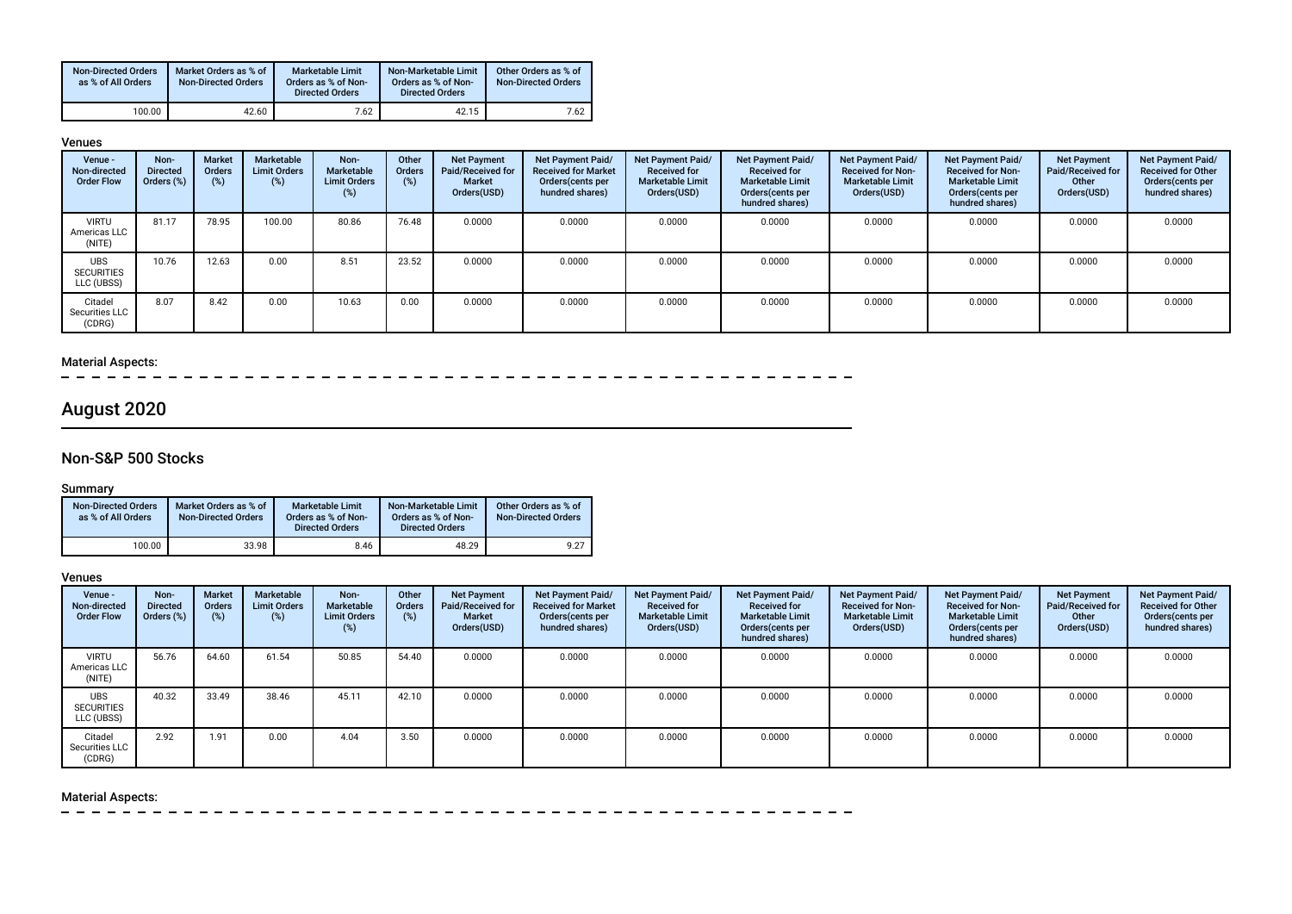| <b>Non-Directed Orders</b><br>as % of All Orders | Market Orders as % of<br><b>Non-Directed Orders</b> | Marketable Limit<br>Orders as % of Non-<br><b>Directed Orders</b> | Non-Marketable Limit<br>Orders as % of Non-<br><b>Directed Orders</b> | Other Orders as % of<br><b>Non-Directed Orders</b> |
|--------------------------------------------------|-----------------------------------------------------|-------------------------------------------------------------------|-----------------------------------------------------------------------|----------------------------------------------------|
| 100.00                                           | 42.60                                               | 7.62                                                              | 42.15                                                                 | 7.62                                               |

#### Venues

| Venue -<br>Non-directed<br><b>Order Flow</b>  | Non-<br><b>Directed</b><br>Orders (%) | Market<br><b>Orders</b><br>$(\%)$ | Marketable<br><b>Limit Orders</b><br>$(\%)$ | Non-<br>Marketable<br><b>Limit Orders</b><br>(%) | Other<br>Orders<br>(%) | <b>Net Payment</b><br>Paid/Received for<br><b>Market</b><br>Orders(USD) | <b>Net Payment Paid/</b><br><b>Received for Market</b><br>Orders(cents per<br>hundred shares) | Net Payment Paid/<br><b>Received for</b><br><b>Marketable Limit</b><br>Orders(USD) | <b>Net Payment Paid/</b><br><b>Received for</b><br><b>Marketable Limit</b><br>Orders(cents per<br>hundred shares) | Net Payment Paid/<br><b>Received for Non-</b><br><b>Marketable Limit</b><br>Orders(USD) | Net Payment Paid/<br><b>Received for Non-</b><br><b>Marketable Limit</b><br>Orders (cents per<br>hundred shares) | <b>Net Payment</b><br>Paid/Received for<br>Other<br>Orders(USD) | Net Payment Paid/<br><b>Received for Other</b><br>Orders(cents per<br>hundred shares) |
|-----------------------------------------------|---------------------------------------|-----------------------------------|---------------------------------------------|--------------------------------------------------|------------------------|-------------------------------------------------------------------------|-----------------------------------------------------------------------------------------------|------------------------------------------------------------------------------------|-------------------------------------------------------------------------------------------------------------------|-----------------------------------------------------------------------------------------|------------------------------------------------------------------------------------------------------------------|-----------------------------------------------------------------|---------------------------------------------------------------------------------------|
| <b>VIRTU</b><br>Americas LLC<br>(NITE)        | 81.17                                 | 78.95                             | 100.00                                      | 80.86                                            | 76.48                  | 0.0000                                                                  | 0.0000                                                                                        | 0.0000                                                                             | 0.0000                                                                                                            | 0.0000                                                                                  | 0.0000                                                                                                           | 0.0000                                                          | 0.0000                                                                                |
| <b>UBS</b><br><b>SECURITIES</b><br>LLC (UBSS) | 10.76                                 | 12.63                             | 0.00                                        | 8.51                                             | 23.52                  | 0.0000                                                                  | 0.0000                                                                                        | 0.0000                                                                             | 0.0000                                                                                                            | 0.0000                                                                                  | 0.0000                                                                                                           | 0.0000                                                          | 0.0000                                                                                |
| Citadel<br>Securities LLC<br>(CDRG)           | 8.07                                  | 8.42                              | 0.00                                        | 10.63                                            | 0.00                   | 0.0000                                                                  | 0.0000                                                                                        | 0.0000                                                                             | 0.0000                                                                                                            | 0.0000                                                                                  | 0.0000                                                                                                           | 0.0000                                                          | 0.0000                                                                                |

## Material Aspects:

 $\overline{\phantom{m}}$  $-$ 

# August 2020

## Non-S&P 500 Stocks

## Summary

| <b>Non-Directed Orders</b><br>as % of All Orders | Market Orders as % of<br><b>Non-Directed Orders</b> | Marketable Limit<br>Orders as % of Non-<br><b>Directed Orders</b> | Non-Marketable Limit<br>Orders as % of Non-<br><b>Directed Orders</b> | Other Orders as % of<br><b>Non-Directed Orders</b> |
|--------------------------------------------------|-----------------------------------------------------|-------------------------------------------------------------------|-----------------------------------------------------------------------|----------------------------------------------------|
| 100.00                                           | 33.98                                               | 8.46                                                              | 48.29                                                                 | 9.27                                               |

#### Venues

| Venue -<br>Non-directed<br><b>Order Flow</b>  | Non-<br><b>Directed</b><br>Orders (%) | <b>Market</b><br><b>Orders</b><br>$(\%)$ | Marketable<br><b>Limit Orders</b><br>(%) | Non-<br>Marketable<br><b>Limit Orders</b><br>(%) | Other<br><b>Orders</b><br>(%) | <b>Net Payment</b><br>Paid/Received for<br>Market<br>Orders(USD) | <b>Net Payment Paid/</b><br><b>Received for Market</b><br>Orders (cents per<br>hundred shares) | Net Payment Paid/<br><b>Received for</b><br><b>Marketable Limit</b><br>Orders(USD) | <b>Net Payment Paid/</b><br><b>Received for</b><br><b>Marketable Limit</b><br>Orders (cents per<br>hundred shares) | Net Payment Paid/<br><b>Received for Non-</b><br><b>Marketable Limit</b><br>Orders(USD) | Net Payment Paid/<br><b>Received for Non-</b><br><b>Marketable Limit</b><br>Orders (cents per<br>hundred shares) | <b>Net Payment</b><br>Paid/Received for<br>Other<br>Orders(USD) | Net Payment Paid/<br><b>Received for Other</b><br>Orders (cents per<br>hundred shares) |
|-----------------------------------------------|---------------------------------------|------------------------------------------|------------------------------------------|--------------------------------------------------|-------------------------------|------------------------------------------------------------------|------------------------------------------------------------------------------------------------|------------------------------------------------------------------------------------|--------------------------------------------------------------------------------------------------------------------|-----------------------------------------------------------------------------------------|------------------------------------------------------------------------------------------------------------------|-----------------------------------------------------------------|----------------------------------------------------------------------------------------|
| <b>VIRTU</b><br>Americas LLC<br>(NITE)        | 56.76                                 | 64.60                                    | 61.54                                    | 50.85                                            | 54.40                         | 0.0000                                                           | 0.0000                                                                                         | 0.0000                                                                             | 0.0000                                                                                                             | 0.0000                                                                                  | 0.0000                                                                                                           | 0.0000                                                          | 0.0000                                                                                 |
| <b>UBS</b><br><b>SECURITIES</b><br>LLC (UBSS) | 40.32                                 | 33.49                                    | 38.46                                    | 45.11                                            | 42.10                         | 0.0000                                                           | 0.0000                                                                                         | 0.0000                                                                             | 0.0000                                                                                                             | 0.0000                                                                                  | 0.0000                                                                                                           | 0.0000                                                          | 0.0000                                                                                 |
| Citadel<br>Securities LLC<br>(CDRG)           | 2.92                                  | 1.91                                     | 0.00                                     | 4.04                                             | 3.50                          | 0.0000                                                           | 0.0000                                                                                         | 0.0000                                                                             | 0.0000                                                                                                             | 0.0000                                                                                  | 0.0000                                                                                                           | 0.0000                                                          | 0.0000                                                                                 |

## Material Aspects:

 $\frac{1}{2}$  $\sim$  $\sim$  $\sim$  $\equiv$  $\overline{\phantom{0}}$  $-$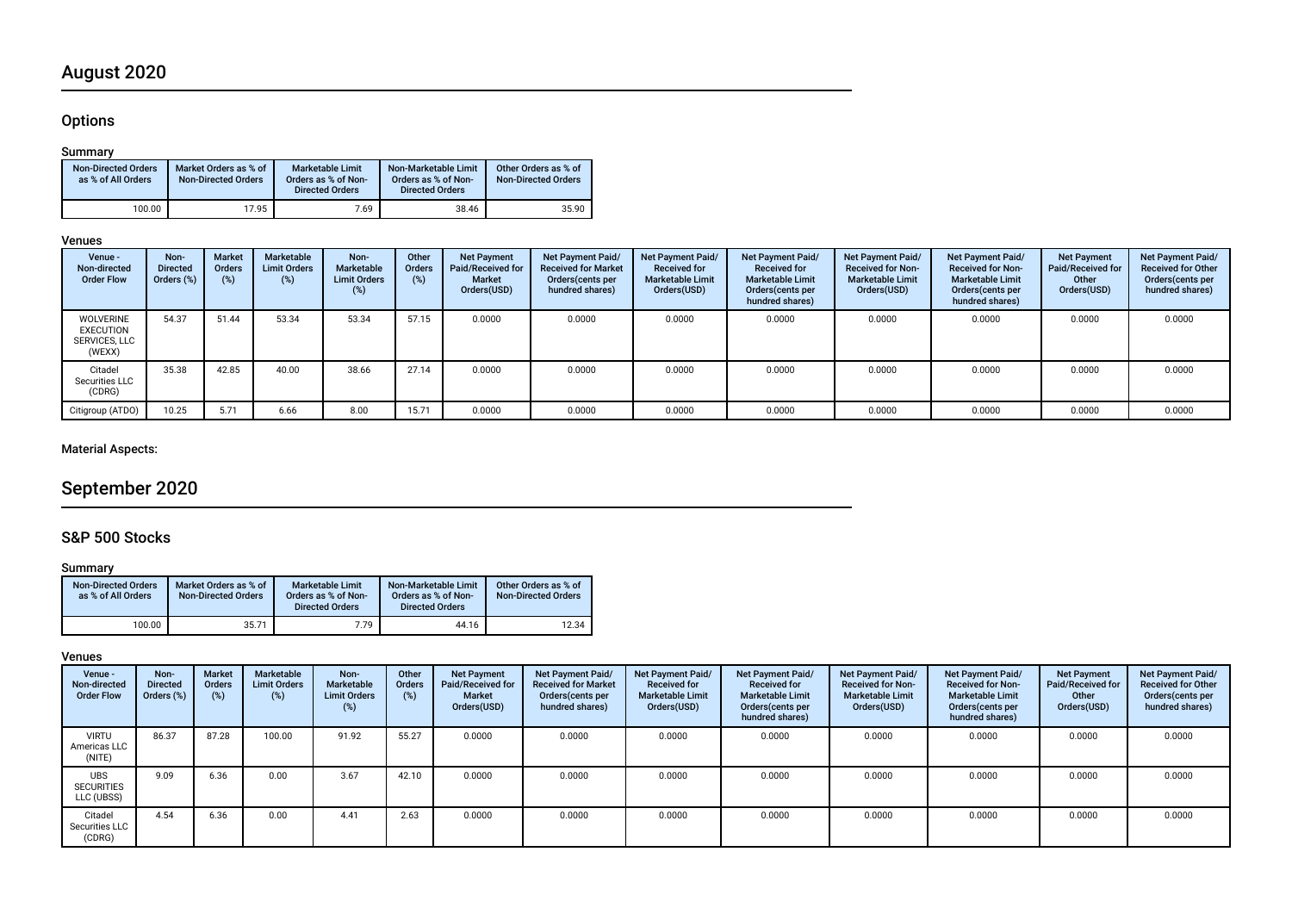# August 2020

## **Options**

## Summary

| <b>Non-Directed Orders</b><br>as % of All Orders | Market Orders as % of<br><b>Non-Directed Orders</b> | Marketable Limit<br>Orders as % of Non-<br><b>Directed Orders</b> | Non-Marketable Limit<br>Orders as % of Non-<br><b>Directed Orders</b> | Other Orders as % of<br><b>Non-Directed Orders</b> |
|--------------------------------------------------|-----------------------------------------------------|-------------------------------------------------------------------|-----------------------------------------------------------------------|----------------------------------------------------|
| 100.00                                           | 17.95                                               | 7.69                                                              | 38.46                                                                 | 35.90                                              |

#### Venues

| Venue -<br>Non-directed<br><b>Order Flow</b>                    | Non-<br><b>Directed</b><br>Orders (%) | <b>Market</b><br><b>Orders</b><br>(%) | Marketable<br><b>Limit Orders</b><br>(%) | Non-<br><b>Marketable</b><br><b>Limit Orders</b><br>$(\%)$ | Other<br><b>Orders</b><br>$(\%)$ | <b>Net Payment</b><br><b>Paid/Received for</b><br><b>Market</b><br>Orders(USD) | Net Payment Paid/<br><b>Received for Market</b><br>Orders (cents per<br>hundred shares) | Net Payment Paid/<br><b>Received for</b><br><b>Marketable Limit</b><br>Orders(USD) | <b>Net Payment Paid/</b><br><b>Received for</b><br><b>Marketable Limit</b><br>Orders (cents per<br>hundred shares) | Net Payment Paid/<br><b>Received for Non-</b><br><b>Marketable Limit</b><br>Orders(USD) | Net Payment Paid/<br><b>Received for Non-</b><br><b>Marketable Limit</b><br>Orders(cents per<br>hundred shares) | <b>Net Payment</b><br><b>Paid/Received for</b><br>Other<br>Orders(USD) | Net Payment Paid/<br><b>Received for Other</b><br>Orders(cents per<br>hundred shares) |
|-----------------------------------------------------------------|---------------------------------------|---------------------------------------|------------------------------------------|------------------------------------------------------------|----------------------------------|--------------------------------------------------------------------------------|-----------------------------------------------------------------------------------------|------------------------------------------------------------------------------------|--------------------------------------------------------------------------------------------------------------------|-----------------------------------------------------------------------------------------|-----------------------------------------------------------------------------------------------------------------|------------------------------------------------------------------------|---------------------------------------------------------------------------------------|
| <b>WOLVERINE</b><br><b>EXECUTION</b><br>SERVICES, LLC<br>(WEXX) | 54.37                                 | 51.44                                 | 53.34                                    | 53.34                                                      | 57.15                            | 0.0000                                                                         | 0.0000                                                                                  | 0.0000                                                                             | 0.0000                                                                                                             | 0.0000                                                                                  | 0.0000                                                                                                          | 0.0000                                                                 | 0.0000                                                                                |
| Citadel<br>Securities LLC<br>(CDRG)                             | 35.38                                 | 42.85                                 | 40.00                                    | 38.66                                                      | 27.14                            | 0.0000                                                                         | 0.0000                                                                                  | 0.0000                                                                             | 0.0000                                                                                                             | 0.0000                                                                                  | 0.0000                                                                                                          | 0.0000                                                                 | 0.0000                                                                                |
| Citigroup (ATDO)                                                | 10.25                                 | 5.71                                  | 6.66                                     | 8.00                                                       | 15.71                            | 0.0000                                                                         | 0.0000                                                                                  | 0.0000                                                                             | 0.0000                                                                                                             | 0.0000                                                                                  | 0.0000                                                                                                          | 0.0000                                                                 | 0.0000                                                                                |

## Material Aspects:

# September 2020

## S&P 500 Stocks

## Summary

| <b>Non-Directed Orders</b><br>as % of All Orders | Market Orders as % of<br>Non-Directed Orders | <b>Marketable Limit</b><br>Orders as % of Non-<br><b>Directed Orders</b> | Non-Marketable Limit<br>Orders as % of Non-<br><b>Directed Orders</b> | Other Orders as % of<br><b>Non-Directed Orders</b> |
|--------------------------------------------------|----------------------------------------------|--------------------------------------------------------------------------|-----------------------------------------------------------------------|----------------------------------------------------|
| 100.00                                           | 35.71                                        | 7.79                                                                     | 44.16                                                                 | 12.34                                              |

#### Venues

| Venue -<br>Non-directed<br><b>Order Flow</b>  | Non-<br><b>Directed</b><br>Orders (%) | <b>Market</b><br><b>Orders</b><br>$(\%)$ | Marketable<br><b>Limit Orders</b><br>(%) | Non-<br>Marketable<br><b>Limit Orders</b><br>(%) | Other<br><b>Orders</b><br>(%) | <b>Net Payment</b><br>Paid/Received for<br><b>Market</b><br>Orders(USD) | <b>Net Payment Paid/</b><br><b>Received for Market</b><br>Orders (cents per<br>hundred shares) | Net Payment Paid/<br><b>Received for</b><br><b>Marketable Limit</b><br>Orders(USD) | Net Payment Paid/<br><b>Received for</b><br><b>Marketable Limit</b><br>Orders(cents per<br>hundred shares) | Net Payment Paid/<br><b>Received for Non-</b><br><b>Marketable Limit</b><br>Orders(USD) | Net Payment Paid/<br><b>Received for Non-</b><br><b>Marketable Limit</b><br>Orders (cents per<br>hundred shares) | <b>Net Payment</b><br>Paid/Received for<br>Other<br>Orders(USD) | Net Payment Paid/<br><b>Received for Other</b><br>Orders(cents per<br>hundred shares) |
|-----------------------------------------------|---------------------------------------|------------------------------------------|------------------------------------------|--------------------------------------------------|-------------------------------|-------------------------------------------------------------------------|------------------------------------------------------------------------------------------------|------------------------------------------------------------------------------------|------------------------------------------------------------------------------------------------------------|-----------------------------------------------------------------------------------------|------------------------------------------------------------------------------------------------------------------|-----------------------------------------------------------------|---------------------------------------------------------------------------------------|
| <b>VIRTU</b><br>Americas LLC<br>(NITE)        | 86.37                                 | 87.28                                    | 100.00                                   | 91.92                                            | 55.27                         | 0.0000                                                                  | 0.0000                                                                                         | 0.0000                                                                             | 0.0000                                                                                                     | 0.0000                                                                                  | 0.0000                                                                                                           | 0.0000                                                          | 0.0000                                                                                |
| <b>UBS</b><br><b>SECURITIES</b><br>LLC (UBSS) | 9.09                                  | 6.36                                     | 0.00                                     | 3.67                                             | 42.10                         | 0.0000                                                                  | 0.0000                                                                                         | 0.0000                                                                             | 0.0000                                                                                                     | 0.0000                                                                                  | 0.0000                                                                                                           | 0.0000                                                          | 0.0000                                                                                |
| Citadel<br>Securities LLC<br>(CDRG)           | 4.54                                  | 6.36                                     | 0.00                                     | 4.41                                             | 2.63                          | 0.0000                                                                  | 0.0000                                                                                         | 0.0000                                                                             | 0.0000                                                                                                     | 0.0000                                                                                  | 0.0000                                                                                                           | 0.0000                                                          | 0.0000                                                                                |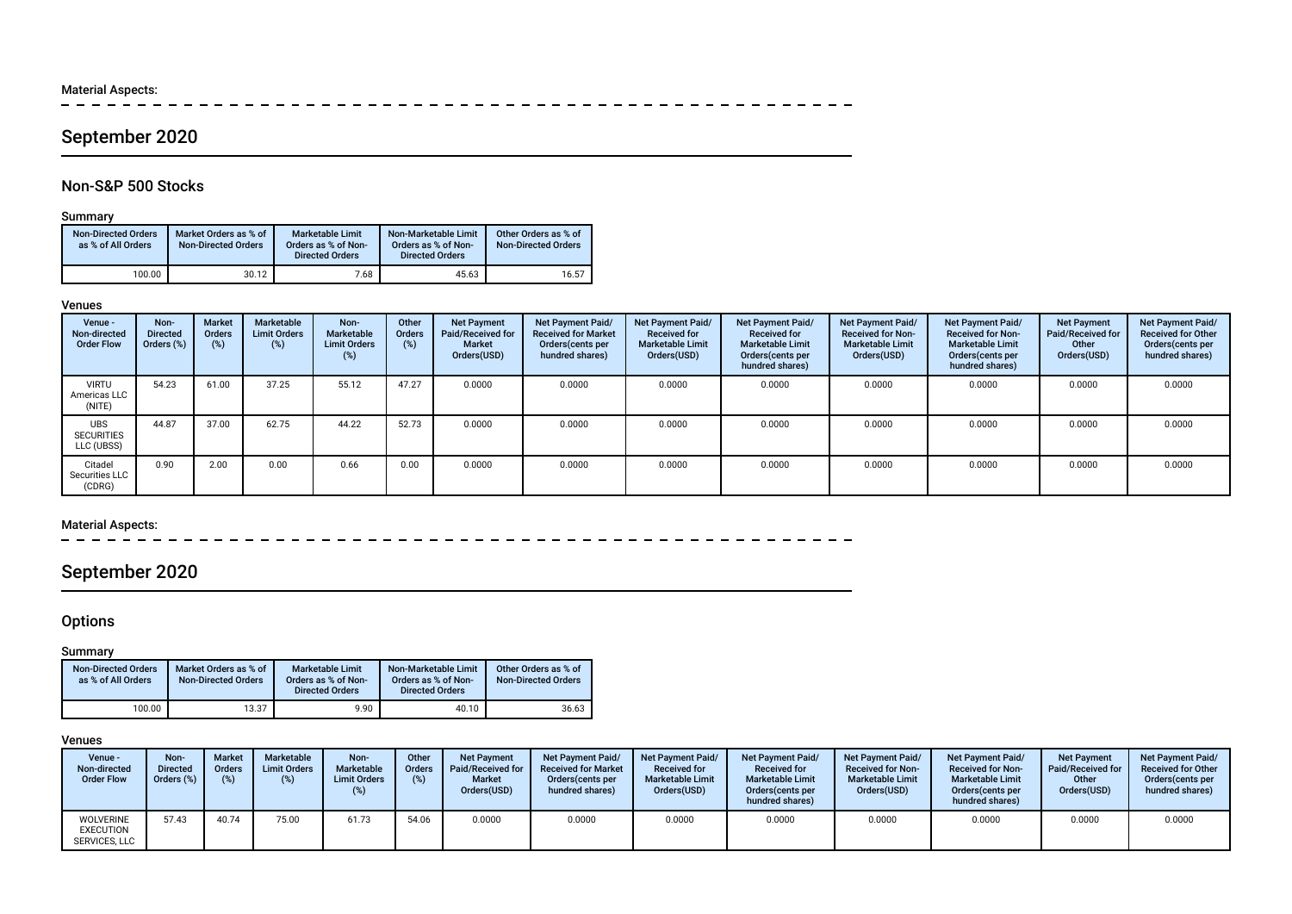Material Aspects:<br> $- - - - - -$ 

------------ $\sim$   $\sim$ 

# September 2020

## Non-S&P 500 Stocks

## Summary

| <b>Non-Directed Orders</b><br>as % of All Orders | Market Orders as % of<br><b>Non-Directed Orders</b> | <b>Marketable Limit</b><br>Orders as % of Non-<br><b>Directed Orders</b> | Non-Marketable Limit<br>Orders as % of Non-<br><b>Directed Orders</b> | Other Orders as % of<br><b>Non-Directed Orders</b> |
|--------------------------------------------------|-----------------------------------------------------|--------------------------------------------------------------------------|-----------------------------------------------------------------------|----------------------------------------------------|
| 100.00                                           | 30.12                                               | 7.68                                                                     | 45.63                                                                 | 16.57                                              |

#### Venues

| Venue -<br>Non-directed<br><b>Order Flow</b>  | Non-<br><b>Directed</b><br>Orders (%) | Market<br><b>Orders</b><br>$(\%)$ | Marketable<br><b>Limit Orders</b><br>$(\%)$ | Non-<br>Marketable<br><b>Limit Orders</b><br>$(\%)$ | Other<br><b>Orders</b><br>(%) | <b>Net Payment</b><br>Paid/Received for<br><b>Market</b><br>Orders(USD) | <b>Net Payment Paid/</b><br><b>Received for Market</b><br>Orders (cents per<br>hundred shares) | Net Payment Paid/<br><b>Received for</b><br><b>Marketable Limit</b><br>Orders(USD) | <b>Net Payment Paid/</b><br><b>Received for</b><br><b>Marketable Limit</b><br>Orders (cents per<br>hundred shares) | Net Payment Paid/<br><b>Received for Non-</b><br><b>Marketable Limit</b><br>Orders(USD) | Net Payment Paid/<br><b>Received for Non-</b><br><b>Marketable Limit</b><br>Orders (cents per<br>hundred shares) | <b>Net Payment</b><br>Paid/Received for<br>Other<br>Orders(USD) | Net Payment Paid/<br><b>Received for Other</b><br>Orders(cents per<br>hundred shares) |
|-----------------------------------------------|---------------------------------------|-----------------------------------|---------------------------------------------|-----------------------------------------------------|-------------------------------|-------------------------------------------------------------------------|------------------------------------------------------------------------------------------------|------------------------------------------------------------------------------------|--------------------------------------------------------------------------------------------------------------------|-----------------------------------------------------------------------------------------|------------------------------------------------------------------------------------------------------------------|-----------------------------------------------------------------|---------------------------------------------------------------------------------------|
| <b>VIRTU</b><br>Americas LLC<br>(NITE)        | 54.23                                 | 61.00                             | 37.25                                       | 55.12                                               | 47.27                         | 0.0000                                                                  | 0.0000                                                                                         | 0.0000                                                                             | 0.0000                                                                                                             | 0.0000                                                                                  | 0.0000                                                                                                           | 0.0000                                                          | 0.0000                                                                                |
| <b>UBS</b><br><b>SECURITIES</b><br>LLC (UBSS) | 44.87                                 | 37.00                             | 62.75                                       | 44.22                                               | 52.73                         | 0.0000                                                                  | 0.0000                                                                                         | 0.0000                                                                             | 0.0000                                                                                                             | 0.0000                                                                                  | 0.0000                                                                                                           | 0.0000                                                          | 0.0000                                                                                |
| Citadel<br>Securities LLC<br>(CDRG)           | 0.90                                  | 2.00                              | 0.00                                        | 0.66                                                | 0.00                          | 0.0000                                                                  | 0.0000                                                                                         | 0.0000                                                                             | 0.0000                                                                                                             | 0.0000                                                                                  | 0.0000                                                                                                           | 0.0000                                                          | 0.0000                                                                                |

## Material Aspects:

# September 2020

## **Options**

## Summary

| <b>Non-Directed Orders</b><br>as % of All Orders | Market Orders as % of<br><b>Non-Directed Orders</b> | <b>Marketable Limit</b><br>Orders as % of Non-<br><b>Directed Orders</b> | Non-Marketable Limit<br>Orders as % of Non-<br><b>Directed Orders</b> | Other Orders as % of<br><b>Non-Directed Orders</b> |
|--------------------------------------------------|-----------------------------------------------------|--------------------------------------------------------------------------|-----------------------------------------------------------------------|----------------------------------------------------|
| 100.00                                           | 13.37                                               | 9.90                                                                     | 40.10                                                                 | 36.63                                              |

#### Venues

| Venue -<br>Non-directed<br><b>Order Flow</b>          | Non-<br><b>Directed</b><br>Orders (%) | <b>Market</b><br><b>Orders</b><br>(% ) | Marketable<br><b>Limit Orders</b><br>(%) | Non-<br><b>Marketable</b><br><b>Limit Orders</b><br>(%) | Other<br>Orders | <b>Net Payment</b><br>Paid/Received for<br><b>Market</b><br>Orders(USD) | <b>Net Payment Paid/</b><br><b>Received for Market</b><br>Orders (cents per<br>hundred shares) | <b>Net Payment Paid/</b><br><b>Received for</b><br><b>Marketable Limit</b><br>Orders(USD) | <b>Net Payment Paid/</b><br><b>Received for</b><br><b>Marketable Limit</b><br>Orders (cents per<br>hundred shares) | Net Payment Paid/<br><b>Received for Non-</b><br><b>Marketable Limit</b><br>Orders(USD) | Net Payment Paid/<br><b>Received for Non-</b><br><b>Marketable Limit</b><br>Orders cents per<br>hundred shares) | <b>Net Payment</b><br>Paid/Received for<br>Other<br>Orders(USD) | Net Payment Paid/<br><b>Received for Other</b><br>Orders (cents per<br>hundred shares) |
|-------------------------------------------------------|---------------------------------------|----------------------------------------|------------------------------------------|---------------------------------------------------------|-----------------|-------------------------------------------------------------------------|------------------------------------------------------------------------------------------------|-------------------------------------------------------------------------------------------|--------------------------------------------------------------------------------------------------------------------|-----------------------------------------------------------------------------------------|-----------------------------------------------------------------------------------------------------------------|-----------------------------------------------------------------|----------------------------------------------------------------------------------------|
| <b>WOLVERINE</b><br><b>EXECUTION</b><br>SERVICES, LLC | 57.43                                 | 40.74                                  | 75.00                                    | 61.73                                                   | 54.06           | 0.0000                                                                  | 0.0000                                                                                         | 0.0000                                                                                    | 0.0000                                                                                                             | 0.0000                                                                                  | 0.0000                                                                                                          | 0.0000                                                          | 0.0000                                                                                 |